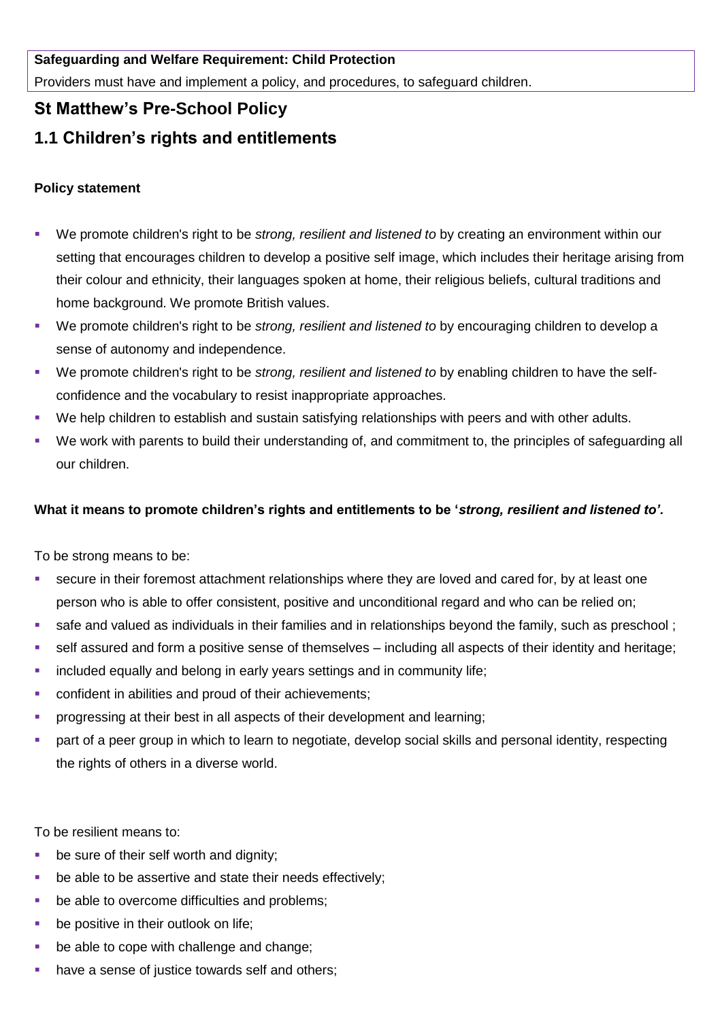### **Safeguarding and Welfare Requirement: Child Protection**

Providers must have and implement a policy, and procedures, to safeguard children.

## **St Matthew's Pre-School Policy**

# **1.1 Children's rights and entitlements**

### **Policy statement**

- We promote children's right to be *strong, resilient and listened to* by creating an environment within our setting that encourages children to develop a positive self image, which includes their heritage arising from their colour and ethnicity, their languages spoken at home, their religious beliefs, cultural traditions and home background. We promote British values.
- We promote children's right to be *strong, resilient and listened to* by encouraging children to develop a sense of autonomy and independence.
- We promote children's right to be *strong, resilient and listened to* by enabling children to have the selfconfidence and the vocabulary to resist inappropriate approaches.
- We help children to establish and sustain satisfying relationships with peers and with other adults.
- We work with parents to build their understanding of, and commitment to, the principles of safeguarding all our children.

### **What it means to promote children's rights and entitlements to be '***strong, resilient and listened to'.*

To be strong means to be:

- secure in their foremost attachment relationships where they are loved and cared for, by at least one person who is able to offer consistent, positive and unconditional regard and who can be relied on;
- safe and valued as individuals in their families and in relationships beyond the family, such as preschool ;
- self assured and form a positive sense of themselves including all aspects of their identity and heritage;
- **EXEDENT** included equally and belong in early years settings and in community life;
- confident in abilities and proud of their achievements;
- progressing at their best in all aspects of their development and learning;
- part of a peer group in which to learn to negotiate, develop social skills and personal identity, respecting the rights of others in a diverse world.

To be resilient means to:

- be sure of their self worth and dignity;
- **•** be able to be assertive and state their needs effectively;
- be able to overcome difficulties and problems;
- be positive in their outlook on life;
- be able to cope with challenge and change;
- have a sense of justice towards self and others;